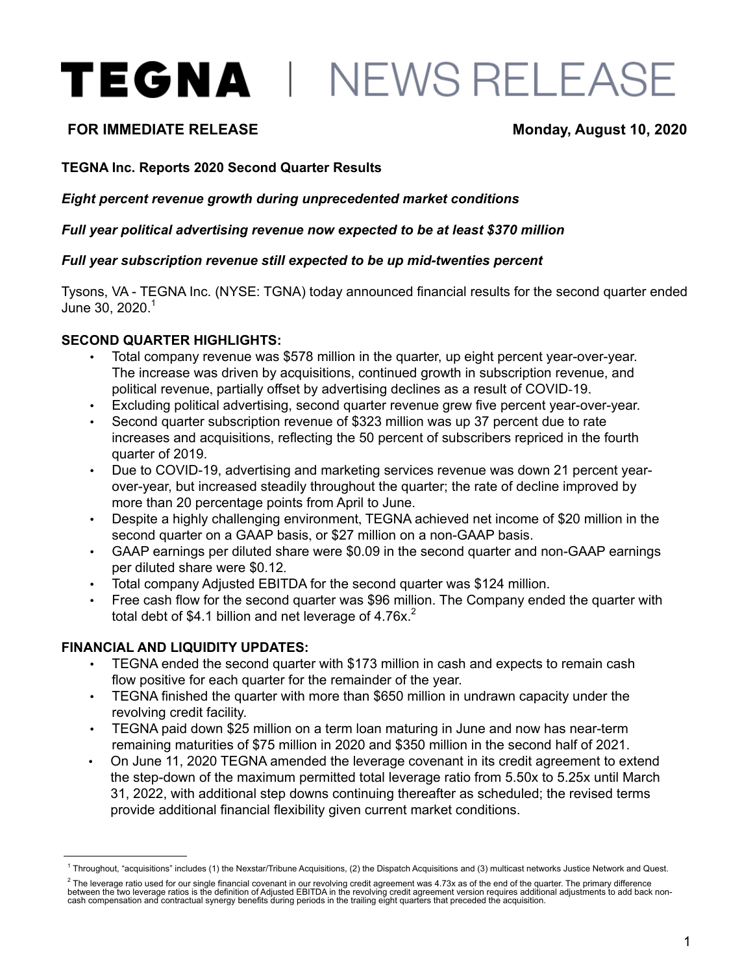# TEGNA | NEWS RELEASE

# **FOR IMMEDIATE RELEASE Monday, August 10, 2020**

#### **TEGNA Inc. Reports 2020 Second Quarter Results**

*Eight percent revenue growth during unprecedented market conditions* 

*Full year political advertising revenue now expected to be at least \$370 million* 

#### *Full year subscription revenue still expected to be up mid-twenties percent*

Tysons, VA - TEGNA Inc. (NYSE: TGNA) today announced financial results for the second quarter ended June 30,  $2020.<sup>1</sup>$ 

#### **SECOND QUARTER HIGHLIGHTS:**

- Total company revenue was \$578 million in the quarter, up eight percent year-over-year. The increase was driven by acquisitions, continued growth in subscription revenue, and political revenue, partially offset by advertising declines as a result of COVID-19.
- Excluding political advertising, second quarter revenue grew five percent year-over-year.
- Second quarter subscription revenue of \$323 million was up 37 percent due to rate increases and acquisitions, reflecting the 50 percent of subscribers repriced in the fourth quarter of 2019.
- Due to COVID-19, advertising and marketing services revenue was down 21 percent yearover-year, but increased steadily throughout the quarter; the rate of decline improved by more than 20 percentage points from April to June.
- Despite a highly challenging environment, TEGNA achieved net income of \$20 million in the second quarter on a GAAP basis, or \$27 million on a non-GAAP basis.
- GAAP earnings per diluted share were \$0.09 in the second quarter and non-GAAP earnings per diluted share were \$0.12.
- Total company Adjusted EBITDA for the second quarter was \$124 million.
- Free cash flow for the second quarter was \$96 million. The Company ended the quarter with total debt of \$4.1 billion and net leverage of  $4.76x$ <sup>2</sup>

#### **FINANCIAL AND LIQUIDITY UPDATES:**

- TEGNA ended the second quarter with \$173 million in cash and expects to remain cash flow positive for each quarter for the remainder of the year.
- TEGNA finished the quarter with more than \$650 million in undrawn capacity under the revolving credit facility.
- TEGNA paid down \$25 million on a term loan maturing in June and now has near-term remaining maturities of \$75 million in 2020 and \$350 million in the second half of 2021.
- On June 11, 2020 TEGNA amended the leverage covenant in its credit agreement to extend the step-down of the maximum permitted total leverage ratio from 5.50x to 5.25x until March 31, 2022, with additional step downs continuing thereafter as scheduled; the revised terms provide additional financial flexibility given current market conditions.

<sup>&</sup>lt;sup>1</sup> Throughout, "acquisitions" includes (1) the Nexstar/Tribune Acquisitions, (2) the Dispatch Acquisitions and (3) multicast networks Justice Network and Quest.

 $^2$  The leverage ratio used for our single financial covenant in our revolving credit agreement was 4.73x as of the end of the quarter. The primary difference between the two leverage ratios is the definition of Adjusted EBITDA in the revolving credit agreement version requires additional adjustments to add back noncash compensation and contractual synergy benefits during periods in the trailing eight quarters that preceded the acquisition.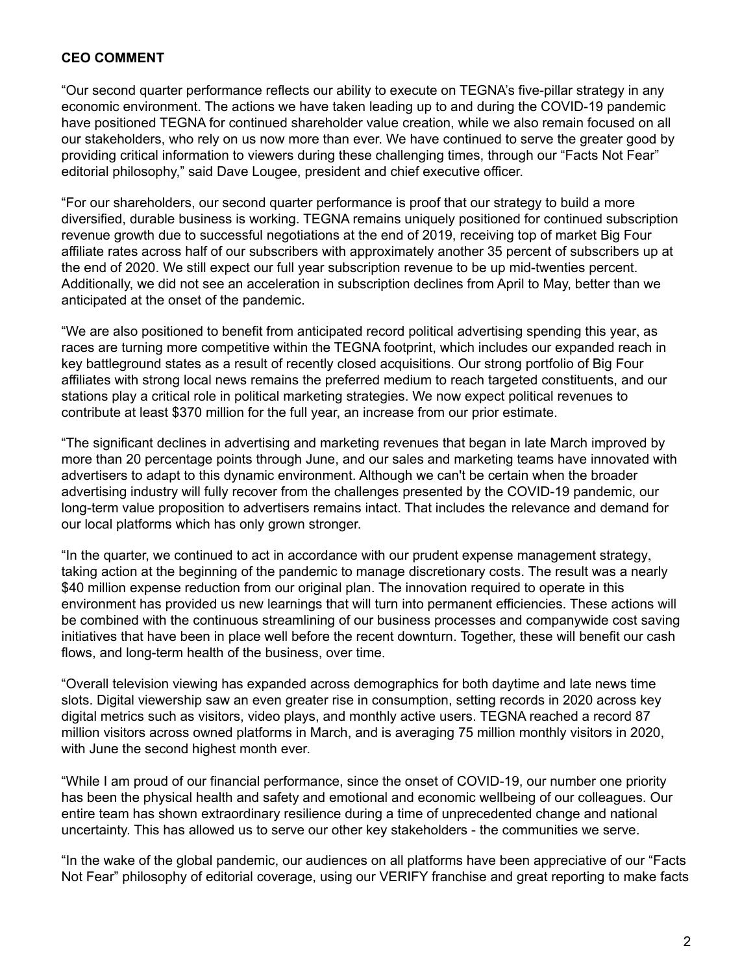#### **CEO COMMENT**

"Our second quarter performance reflects our ability to execute on TEGNA's five-pillar strategy in any economic environment. The actions we have taken leading up to and during the COVID-19 pandemic have positioned TEGNA for continued shareholder value creation, while we also remain focused on all our stakeholders, who rely on us now more than ever. We have continued to serve the greater good by providing critical information to viewers during these challenging times, through our "Facts Not Fear" editorial philosophy," said Dave Lougee, president and chief executive officer.

"For our shareholders, our second quarter performance is proof that our strategy to build a more diversified, durable business is working. TEGNA remains uniquely positioned for continued subscription revenue growth due to successful negotiations at the end of 2019, receiving top of market Big Four affiliate rates across half of our subscribers with approximately another 35 percent of subscribers up at the end of 2020. We still expect our full year subscription revenue to be up mid-twenties percent. Additionally, we did not see an acceleration in subscription declines from April to May, better than we anticipated at the onset of the pandemic.

"We are also positioned to benefit from anticipated record political advertising spending this year, as races are turning more competitive within the TEGNA footprint, which includes our expanded reach in key battleground states as a result of recently closed acquisitions. Our strong portfolio of Big Four affiliates with strong local news remains the preferred medium to reach targeted constituents, and our stations play a critical role in political marketing strategies. We now expect political revenues to contribute at least \$370 million for the full year, an increase from our prior estimate.

"The significant declines in advertising and marketing revenues that began in late March improved by more than 20 percentage points through June, and our sales and marketing teams have innovated with advertisers to adapt to this dynamic environment. Although we can't be certain when the broader advertising industry will fully recover from the challenges presented by the COVID-19 pandemic, our long-term value proposition to advertisers remains intact. That includes the relevance and demand for our local platforms which has only grown stronger.

"In the quarter, we continued to act in accordance with our prudent expense management strategy, taking action at the beginning of the pandemic to manage discretionary costs. The result was a nearly \$40 million expense reduction from our original plan. The innovation required to operate in this environment has provided us new learnings that will turn into permanent efficiencies. These actions will be combined with the continuous streamlining of our business processes and companywide cost saving initiatives that have been in place well before the recent downturn. Together, these will benefit our cash flows, and long-term health of the business, over time.

"Overall television viewing has expanded across demographics for both daytime and late news time slots. Digital viewership saw an even greater rise in consumption, setting records in 2020 across key digital metrics such as visitors, video plays, and monthly active users. TEGNA reached a record 87 million visitors across owned platforms in March, and is averaging 75 million monthly visitors in 2020, with June the second highest month ever.

"While I am proud of our financial performance, since the onset of COVID-19, our number one priority has been the physical health and safety and emotional and economic wellbeing of our colleagues. Our entire team has shown extraordinary resilience during a time of unprecedented change and national uncertainty. This has allowed us to serve our other key stakeholders - the communities we serve.

"In the wake of the global pandemic, our audiences on all platforms have been appreciative of our "Facts Not Fear" philosophy of editorial coverage, using our VERIFY franchise and great reporting to make facts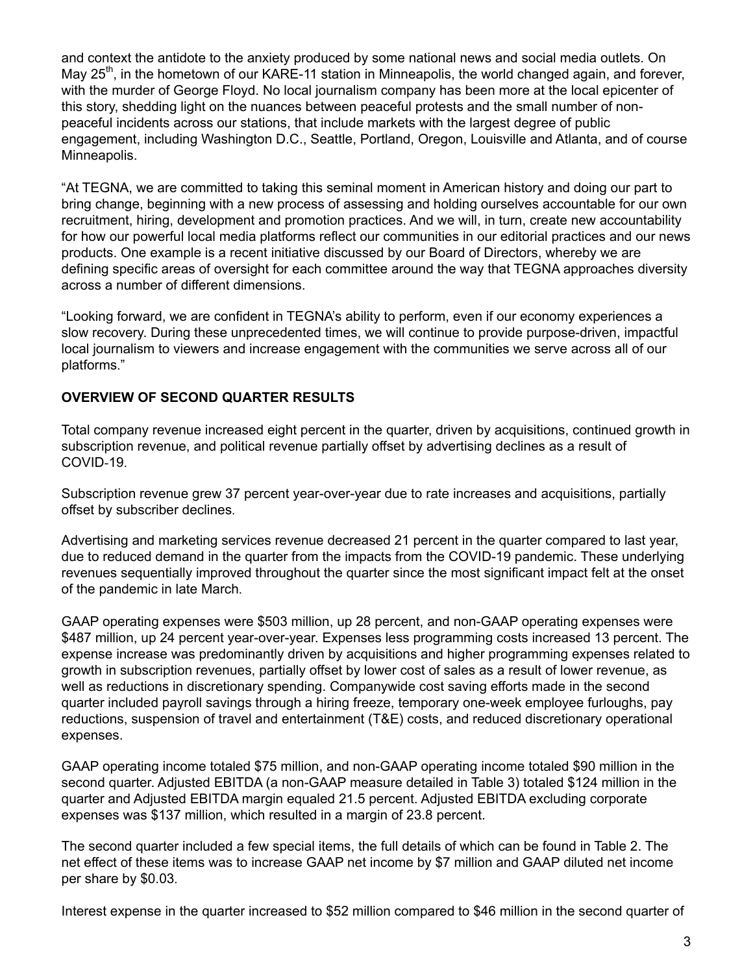and context the antidote to the anxiety produced by some national news and social media outlets. On May 25<sup>th</sup>, in the hometown of our KARE-11 station in Minneapolis, the world changed again, and forever, with the murder of George Floyd. No local journalism company has been more at the local epicenter of this story, shedding light on the nuances between peaceful protests and the small number of nonpeaceful incidents across our stations, that include markets with the largest degree of public engagement, including Washington D.C., Seattle, Portland, Oregon, Louisville and Atlanta, and of course Minneapolis.

"At TEGNA, we are committed to taking this seminal moment in American history and doing our part to bring change, beginning with a new process of assessing and holding ourselves accountable for our own recruitment, hiring, development and promotion practices. And we will, in turn, create new accountability for how our powerful local media platforms reflect our communities in our editorial practices and our news products. One example is a recent initiative discussed by our Board of Directors, whereby we are defining specific areas of oversight for each committee around the way that TEGNA approaches diversity across a number of different dimensions.

"Looking forward, we are confident in TEGNA's ability to perform, even if our economy experiences a slow recovery. During these unprecedented times, we will continue to provide purpose-driven, impactful local journalism to viewers and increase engagement with the communities we serve across all of our platforms."

### **OVERVIEW OF SECOND QUARTER RESULTS**

Total company revenue increased eight percent in the quarter, driven by acquisitions, continued growth in subscription revenue, and political revenue partially offset by advertising declines as a result of COVID-19.

Subscription revenue grew 37 percent year-over-year due to rate increases and acquisitions, partially offset by subscriber declines.

Advertising and marketing services revenue decreased 21 percent in the quarter compared to last year, due to reduced demand in the quarter from the impacts from the COVID-19 pandemic. These underlying revenues sequentially improved throughout the quarter since the most significant impact felt at the onset of the pandemic in late March.

GAAP operating expenses were \$503 million, up 28 percent, and non-GAAP operating expenses were \$487 million, up 24 percent year-over-year. Expenses less programming costs increased 13 percent. The expense increase was predominantly driven by acquisitions and higher programming expenses related to growth in subscription revenues, partially offset by lower cost of sales as a result of lower revenue, as well as reductions in discretionary spending. Companywide cost saving efforts made in the second quarter included payroll savings through a hiring freeze, temporary one-week employee furloughs, pay reductions, suspension of travel and entertainment (T&E) costs, and reduced discretionary operational expenses.

GAAP operating income totaled \$75 million, and non-GAAP operating income totaled \$90 million in the second quarter. Adjusted EBITDA (a non-GAAP measure detailed in Table 3) totaled \$124 million in the quarter and Adjusted EBITDA margin equaled 21.5 percent. Adjusted EBITDA excluding corporate expenses was \$137 million, which resulted in a margin of 23.8 percent.

The second quarter included a few special items, the full details of which can be found in Table 2. The net effect of these items was to increase GAAP net income by \$7 million and GAAP diluted net income per share by \$0.03.

Interest expense in the quarter increased to \$52 million compared to \$46 million in the second quarter of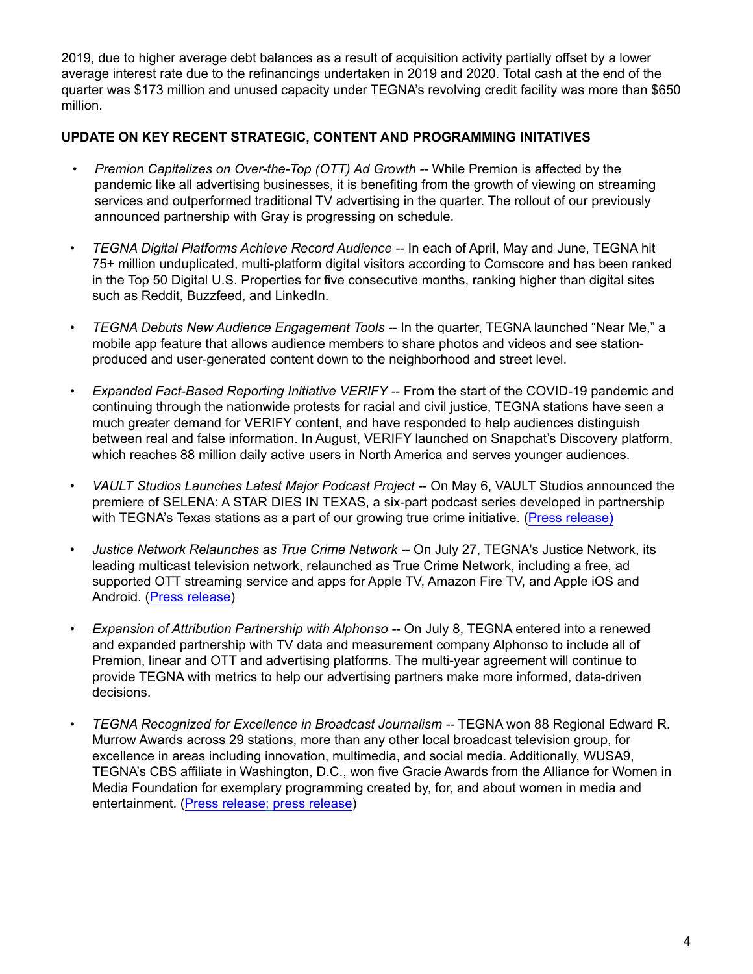2019, due to higher average debt balances as a result of acquisition activity partially offset by a lower average interest rate due to the refinancings undertaken in 2019 and 2020. Total cash at the end of the quarter was \$173 million and unused capacity under TEGNA's revolving credit facility was more than \$650 million.

#### **UPDATE ON KEY RECENT STRATEGIC, CONTENT AND PROGRAMMING INITATIVES**

- *Premion Capitalizes on Over-the-Top (OTT) Ad Growth -* While Premion is affected by the pandemic like all advertising businesses, it is benefiting from the growth of viewing on streaming services and outperformed traditional TV advertising in the quarter. The rollout of our previously announced partnership with Gray is progressing on schedule.
- *• TEGNA Digital Platforms Achieve Record Audience -* In each of April, May and June, TEGNA hit 75+ million unduplicated, multi-platform digital visitors according to Comscore and has been ranked in the Top 50 Digital U.S. Properties for five consecutive months, ranking higher than digital sites such as Reddit, Buzzfeed, and LinkedIn.
- *TEGNA Debuts New Audience Engagement Tools -* In the quarter, TEGNA launched "Near Me," a mobile app feature that allows audience members to share photos and videos and see stationproduced and user-generated content down to the neighborhood and street level.
- *Expanded Fact-Based Reporting Initiative VERIFY -* From the start of the COVID-19 pandemic and continuing through the nationwide protests for racial and civil justice, TEGNA stations have seen a much greater demand for VERIFY content, and have responded to help audiences distinguish between real and false information. In August, VERIFY launched on Snapchat's Discovery platform, which reaches 88 million daily active users in North America and serves younger audiences.
- *• VAULT Studios Launches Latest Major Podcast Project -* On May 6, VAULT Studios announced the premiere of SELENA: A STAR DIES IN TEXAS, a six-part podcast series developed in partnership with TEGNA's Texas stations as a part of our growing true crime initiative. ([Press release\)](https://www.tegna.com/vault-studios-announces-premiere-of-selena-a-star-dies-in-texas/)
- *Justice Network Relaunches as True Crime Network -* On July 27, TEGNA's Justice Network, its leading multicast television network, relaunched as True Crime Network, including a free, ad supported OTT streaming service and apps for Apple TV, Amazon Fire TV, and Apple iOS and Android. ([Press release\)](https://www.tegna.com/tegnas-justice-network-to-relaunch-as-true-crime-network-creating-the-first-24-7-true-crime-broadcast-network/)
- *Expansion of Attribution Partnership with Alphonso -* On July 8, TEGNA entered into a renewed and expanded partnership with TV data and measurement company Alphonso to include all of Premion, linear and OTT and advertising platforms. The multi-year agreement will continue to provide TEGNA with metrics to help our advertising partners make more informed, data-driven decisions.
- *TEGNA Recognized for Excellence in Broadcast Journalism -* TEGNA won 88 Regional Edward R. Murrow Awards across 29 stations, more than any other local broadcast television group, for excellence in areas including innovation, multimedia, and social media. Additionally, WUSA9, TEGNA's CBS affiliate in Washington, D.C., won five Gracie Awards from the Alliance for Women in Media Foundation for exemplary programming created by, for, and about women in media and entertainment. [\(Press release](https://www.tegna.com/tegna-wins-88-regional-edward-r-murrow-awards-more-than-any-other-local-broadcast-television-group/); [press release\)](http://investors.tegna.com/news-releases/news-release-details/tegnas-wusa9-wins-five-alliance-women-media-foundation-gracie)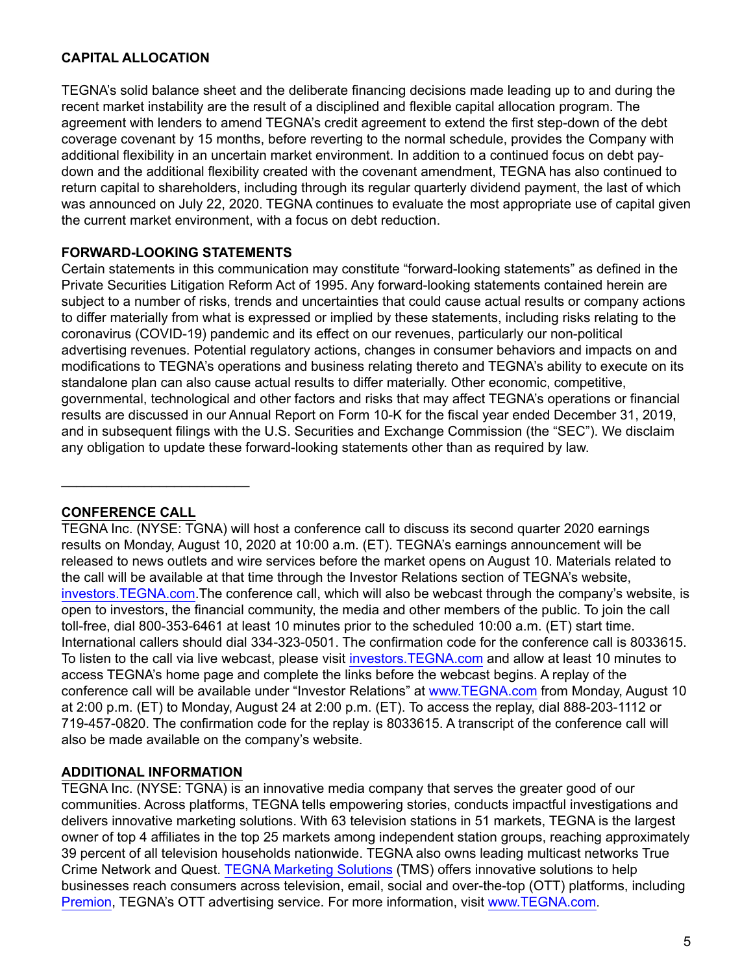### **CAPITAL ALLOCATION**

TEGNA's solid balance sheet and the deliberate financing decisions made leading up to and during the recent market instability are the result of a disciplined and flexible capital allocation program. The agreement with lenders to amend TEGNA's credit agreement to extend the first step-down of the debt coverage covenant by 15 months, before reverting to the normal schedule, provides the Company with additional flexibility in an uncertain market environment. In addition to a continued focus on debt paydown and the additional flexibility created with the covenant amendment, TEGNA has also continued to return capital to shareholders, including through its regular quarterly dividend payment, the last of which was announced on July 22, 2020. TEGNA continues to evaluate the most appropriate use of capital given the current market environment, with a focus on debt reduction.

#### **FORWARD-LOOKING STATEMENTS**

Certain statements in this communication may constitute "forward-looking statements" as defined in the Private Securities Litigation Reform Act of 1995. Any forward-looking statements contained herein are subject to a number of risks, trends and uncertainties that could cause actual results or company actions to differ materially from what is expressed or implied by these statements, including risks relating to the coronavirus (COVID-19) pandemic and its effect on our revenues, particularly our non-political advertising revenues. Potential regulatory actions, changes in consumer behaviors and impacts on and modifications to TEGNA's operations and business relating thereto and TEGNA's ability to execute on its standalone plan can also cause actual results to differ materially. Other economic, competitive, governmental, technological and other factors and risks that may affect TEGNA's operations or financial results are discussed in our Annual Report on Form 10-K for the fiscal year ended December 31, 2019, and in subsequent filings with the U.S. Securities and Exchange Commission (the "SEC"). We disclaim any obligation to update these forward-looking statements other than as required by law.

#### **CONFERENCE CALL**

\_\_\_\_\_\_\_\_\_\_\_\_\_\_\_\_\_\_\_\_\_\_\_\_\_

TEGNA Inc. (NYSE: TGNA) will host a conference call to discuss its second quarter 2020 earnings results on Monday, August 10, 2020 at 10:00 a.m. (ET). TEGNA's earnings announcement will be released to news outlets and wire services before the market opens on August 10. Materials related to the call will be available at that time through the Investor Relations section of TEGNA's website, [investors.TEGNA.com.](investors.TEGNA.com)The conference call, which will also be webcast through the company's website, is open to investors, the financial community, the media and other members of the public. To join the call toll-free, dial 800-353-6461 at least 10 minutes prior to the scheduled 10:00 a.m. (ET) start time. International callers should dial 334-323-0501. The confirmation code for the conference call is 8033615. To listen to the call via live webcast, please visit <investors.TEGNA.com> and allow at least 10 minutes to access TEGNA's home page and complete the links before the webcast begins. A replay of the conference call will be available under "Investor Relations" at <www.TEGNA.com>from Monday, August 10 at 2:00 p.m. (ET) to Monday, August 24 at 2:00 p.m. (ET). To access the replay, dial 888-203-1112 or 719-457-0820. The confirmation code for the replay is 8033615. A transcript of the conference call will also be made available on the company's website.

#### **ADDITIONAL INFORMATION**

TEGNA Inc. (NYSE: TGNA) is an innovative media company that serves the greater good of our communities. Across platforms, TEGNA tells empowering stories, conducts impactful investigations and delivers innovative marketing solutions. With 63 television stations in 51 markets, TEGNA is the largest owner of top 4 affiliates in the top 25 markets among independent station groups, reaching approximately 39 percent of all television households nationwide. TEGNA also owns leading multicast networks True Crime Network and Quest. [TEGNA Marketing Solutions](https://tegnamarketingsolutions.com/) (TMS) offers innovative solutions to help businesses reach consumers across television, email, social and over-the-top (OTT) platforms, including [Premion,](https://premion.com/) TEGNA's OTT advertising service. For more information, visit <www.TEGNA.com>.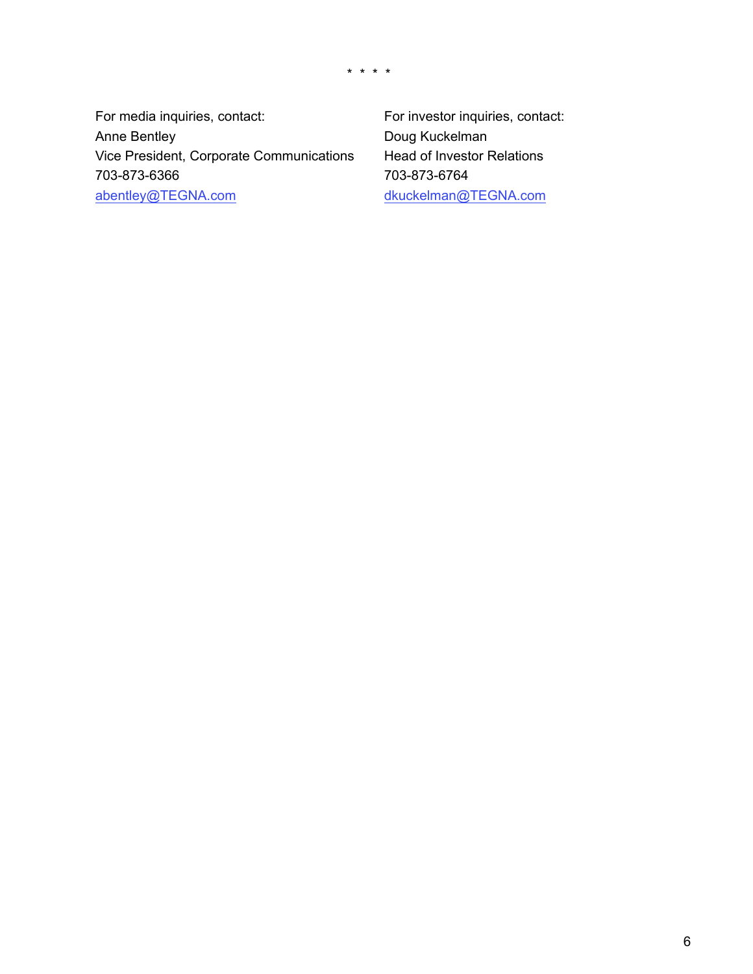\* \* \* \*

For media inquiries, contact: For investor inquiries, contact: Anne Bentley **Doug Kuckelman** Vice President, Corporate Communications Head of Investor Relations 703-873-6366 703-873-6764 abentley@TEGNA.com dkuckelman@TEGNA.com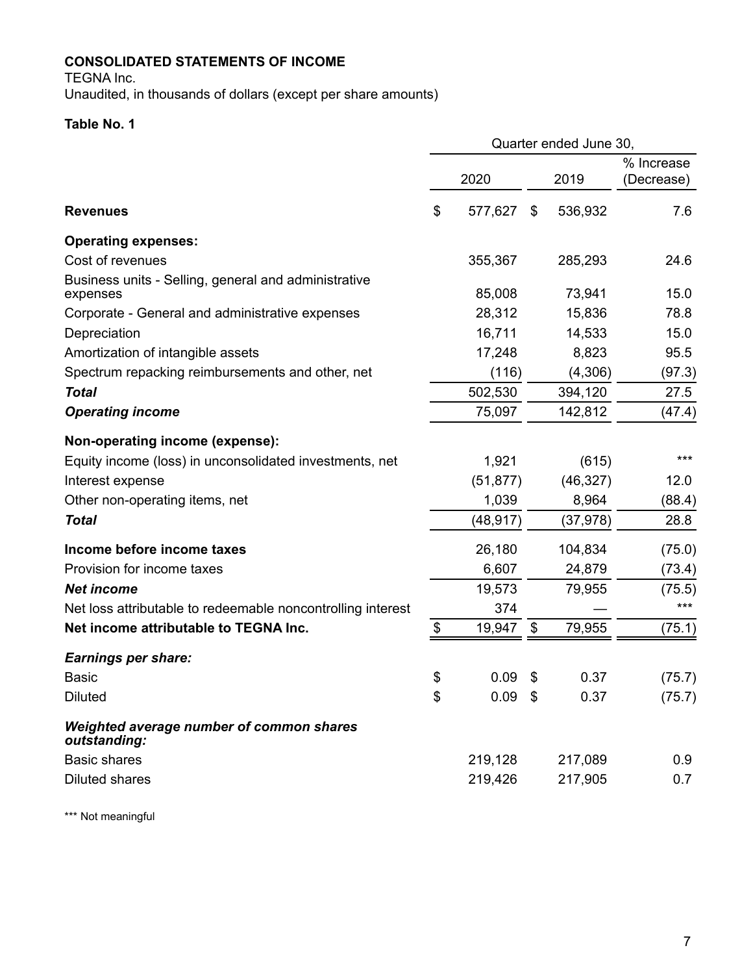# **CONSOLIDATED STATEMENTS OF INCOME**

TEGNA Inc.

Unaudited, in thousands of dollars (except per share amounts)

# **Table No. 1**

|                                                                  |               |      | Quarter ended June 30, |                          |
|------------------------------------------------------------------|---------------|------|------------------------|--------------------------|
|                                                                  | 2020          |      | 2019                   | % Increase<br>(Decrease) |
| <b>Revenues</b>                                                  | \$<br>577,627 | \$   | 536,932                | 7.6                      |
| <b>Operating expenses:</b>                                       |               |      |                        |                          |
| Cost of revenues                                                 | 355,367       |      | 285,293                | 24.6                     |
| Business units - Selling, general and administrative<br>expenses | 85,008        |      | 73,941                 | 15.0                     |
| Corporate - General and administrative expenses                  | 28,312        |      | 15,836                 | 78.8                     |
| Depreciation                                                     | 16,711        |      | 14,533                 | 15.0                     |
| Amortization of intangible assets                                | 17,248        |      | 8,823                  | 95.5                     |
| Spectrum repacking reimbursements and other, net                 | (116)         |      | (4,306)                | (97.3)                   |
| <b>Total</b>                                                     | 502,530       |      | 394,120                | 27.5                     |
| <b>Operating income</b>                                          | 75,097        |      | 142,812                | (47.4)                   |
| Non-operating income (expense):                                  |               |      |                        |                          |
| Equity income (loss) in unconsolidated investments, net          | 1,921         |      | (615)                  | ***                      |
| Interest expense                                                 | (51, 877)     |      | (46, 327)              | 12.0                     |
| Other non-operating items, net                                   | 1,039         |      | 8,964                  | (88.4)                   |
| <b>Total</b>                                                     | (48, 917)     |      | (37, 978)              | 28.8                     |
| Income before income taxes                                       | 26,180        |      | 104,834                | (75.0)                   |
| Provision for income taxes                                       | 6,607         |      | 24,879                 | (73.4)                   |
| <b>Net income</b>                                                | 19,573        |      | 79,955                 | (75.5)                   |
| Net loss attributable to redeemable noncontrolling interest      | 374           |      |                        | ***                      |
| Net income attributable to TEGNA Inc.                            | \$<br>19,947  | \$   | 79,955                 | (75.1)                   |
| <b>Earnings per share:</b>                                       |               |      |                        |                          |
| <b>Basic</b>                                                     | \$<br>0.09    | \$   | 0.37                   | (75.7)                   |
| <b>Diluted</b>                                                   | \$<br>0.09    | - \$ | 0.37                   | (75.7)                   |
| Weighted average number of common shares<br>outstanding:         |               |      |                        |                          |
| <b>Basic shares</b>                                              | 219,128       |      | 217,089                | 0.9                      |
| <b>Diluted shares</b>                                            | 219,426       |      | 217,905                | 0.7                      |
|                                                                  |               |      |                        |                          |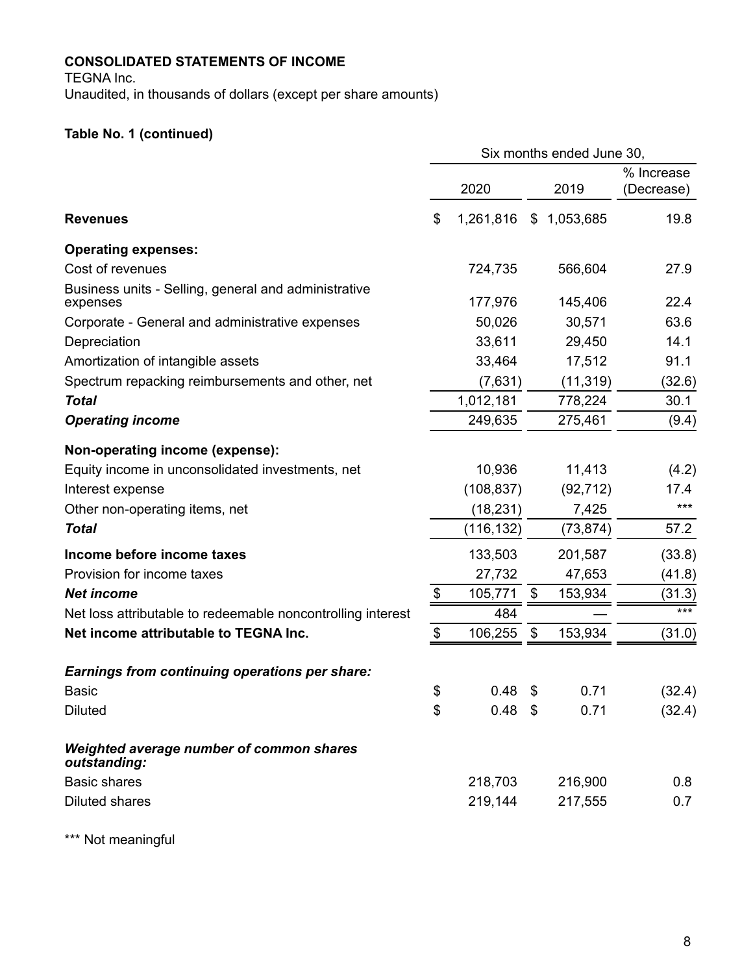# **CONSOLIDATED STATEMENTS OF INCOME**

TEGNA Inc.

Unaudited, in thousands of dollars (except per share amounts)

# **Table No. 1 (continued)**

|                                                                  |                 | Six months ended June 30, |            |
|------------------------------------------------------------------|-----------------|---------------------------|------------|
|                                                                  |                 |                           | % Increase |
|                                                                  | 2020            | 2019                      | (Decrease) |
| <b>Revenues</b>                                                  | \$<br>1,261,816 | \$1,053,685               | 19.8       |
| <b>Operating expenses:</b>                                       |                 |                           |            |
| Cost of revenues                                                 | 724,735         | 566,604                   | 27.9       |
| Business units - Selling, general and administrative<br>expenses | 177,976         | 145,406                   | 22.4       |
| Corporate - General and administrative expenses                  | 50,026          | 30,571                    | 63.6       |
| Depreciation                                                     | 33,611          | 29,450                    | 14.1       |
| Amortization of intangible assets                                | 33,464          | 17,512                    | 91.1       |
| Spectrum repacking reimbursements and other, net                 | (7,631)         | (11, 319)                 | (32.6)     |
| <b>Total</b>                                                     | 1,012,181       | 778,224                   | 30.1       |
| <b>Operating income</b>                                          | 249,635         | 275,461                   | (9.4)      |
| Non-operating income (expense):                                  |                 |                           |            |
| Equity income in unconsolidated investments, net                 | 10,936          | 11,413                    | (4.2)      |
| Interest expense                                                 | (108, 837)      | (92, 712)                 | 17.4       |
| Other non-operating items, net                                   | (18, 231)       | 7,425                     | ***        |
| <b>Total</b>                                                     | (116, 132)      | (73, 874)                 | 57.2       |
| Income before income taxes                                       | 133,503         | 201,587                   | (33.8)     |
| Provision for income taxes                                       | 27,732          | 47,653                    | (41.8)     |
| <b>Net income</b>                                                | \$<br>105,771   | \$<br>153,934             | (31.3)     |
| Net loss attributable to redeemable noncontrolling interest      | 484             |                           | $***$      |
| Net income attributable to TEGNA Inc.                            | \$<br>106,255   | \$<br>153,934             | (31.0)     |
| <b>Earnings from continuing operations per share:</b>            |                 |                           |            |
| <b>Basic</b>                                                     | \$<br>0.48      | \$<br>0.71                | (32.4)     |
| <b>Diluted</b>                                                   | \$<br>$0.48$ \$ | 0.71                      | (32.4)     |
| Weighted average number of common shares<br>outstanding:         |                 |                           |            |
| <b>Basic shares</b>                                              | 218,703         | 216,900                   | 0.8        |
| <b>Diluted shares</b>                                            | 219,144         | 217,555                   | 0.7        |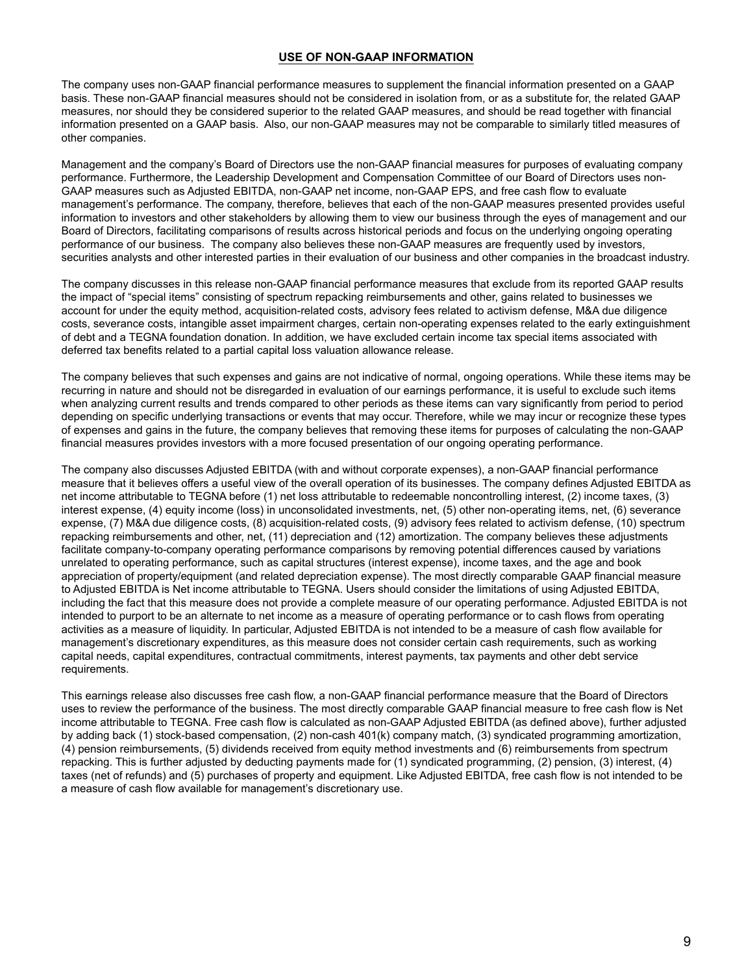#### **USE OF NON-GAAP INFORMATION**

The company uses non-GAAP financial performance measures to supplement the financial information presented on a GAAP basis. These non-GAAP financial measures should not be considered in isolation from, or as a substitute for, the related GAAP measures, nor should they be considered superior to the related GAAP measures, and should be read together with financial information presented on a GAAP basis. Also, our non-GAAP measures may not be comparable to similarly titled measures of other companies.

Management and the company's Board of Directors use the non-GAAP financial measures for purposes of evaluating company performance. Furthermore, the Leadership Development and Compensation Committee of our Board of Directors uses non-GAAP measures such as Adjusted EBITDA, non-GAAP net income, non-GAAP EPS, and free cash flow to evaluate management's performance. The company, therefore, believes that each of the non-GAAP measures presented provides useful information to investors and other stakeholders by allowing them to view our business through the eyes of management and our Board of Directors, facilitating comparisons of results across historical periods and focus on the underlying ongoing operating performance of our business. The company also believes these non-GAAP measures are frequently used by investors, securities analysts and other interested parties in their evaluation of our business and other companies in the broadcast industry.

The company discusses in this release non-GAAP financial performance measures that exclude from its reported GAAP results the impact of "special items" consisting of spectrum repacking reimbursements and other, gains related to businesses we account for under the equity method, acquisition-related costs, advisory fees related to activism defense, M&A due diligence costs, severance costs, intangible asset impairment charges, certain non-operating expenses related to the early extinguishment of debt and a TEGNA foundation donation. In addition, we have excluded certain income tax special items associated with deferred tax benefits related to a partial capital loss valuation allowance release.

The company believes that such expenses and gains are not indicative of normal, ongoing operations. While these items may be recurring in nature and should not be disregarded in evaluation of our earnings performance, it is useful to exclude such items when analyzing current results and trends compared to other periods as these items can vary significantly from period to period depending on specific underlying transactions or events that may occur. Therefore, while we may incur or recognize these types of expenses and gains in the future, the company believes that removing these items for purposes of calculating the non-GAAP financial measures provides investors with a more focused presentation of our ongoing operating performance.

The company also discusses Adjusted EBITDA (with and without corporate expenses), a non-GAAP financial performance measure that it believes offers a useful view of the overall operation of its businesses. The company defines Adjusted EBITDA as net income attributable to TEGNA before (1) net loss attributable to redeemable noncontrolling interest, (2) income taxes, (3) interest expense, (4) equity income (loss) in unconsolidated investments, net, (5) other non-operating items, net, (6) severance expense, (7) M&A due diligence costs, (8) acquisition-related costs, (9) advisory fees related to activism defense, (10) spectrum repacking reimbursements and other, net, (11) depreciation and (12) amortization. The company believes these adjustments facilitate company-to-company operating performance comparisons by removing potential differences caused by variations unrelated to operating performance, such as capital structures (interest expense), income taxes, and the age and book appreciation of property/equipment (and related depreciation expense). The most directly comparable GAAP financial measure to Adjusted EBITDA is Net income attributable to TEGNA. Users should consider the limitations of using Adjusted EBITDA, including the fact that this measure does not provide a complete measure of our operating performance. Adjusted EBITDA is not intended to purport to be an alternate to net income as a measure of operating performance or to cash flows from operating activities as a measure of liquidity. In particular, Adjusted EBITDA is not intended to be a measure of cash flow available for management's discretionary expenditures, as this measure does not consider certain cash requirements, such as working capital needs, capital expenditures, contractual commitments, interest payments, tax payments and other debt service requirements.

This earnings release also discusses free cash flow, a non-GAAP financial performance measure that the Board of Directors uses to review the performance of the business. The most directly comparable GAAP financial measure to free cash flow is Net income attributable to TEGNA. Free cash flow is calculated as non-GAAP Adjusted EBITDA (as defined above), further adjusted by adding back (1) stock-based compensation, (2) non-cash 401(k) company match, (3) syndicated programming amortization, (4) pension reimbursements, (5) dividends received from equity method investments and (6) reimbursements from spectrum repacking. This is further adjusted by deducting payments made for (1) syndicated programming, (2) pension, (3) interest, (4) taxes (net of refunds) and (5) purchases of property and equipment. Like Adjusted EBITDA, free cash flow is not intended to be a measure of cash flow available for management's discretionary use.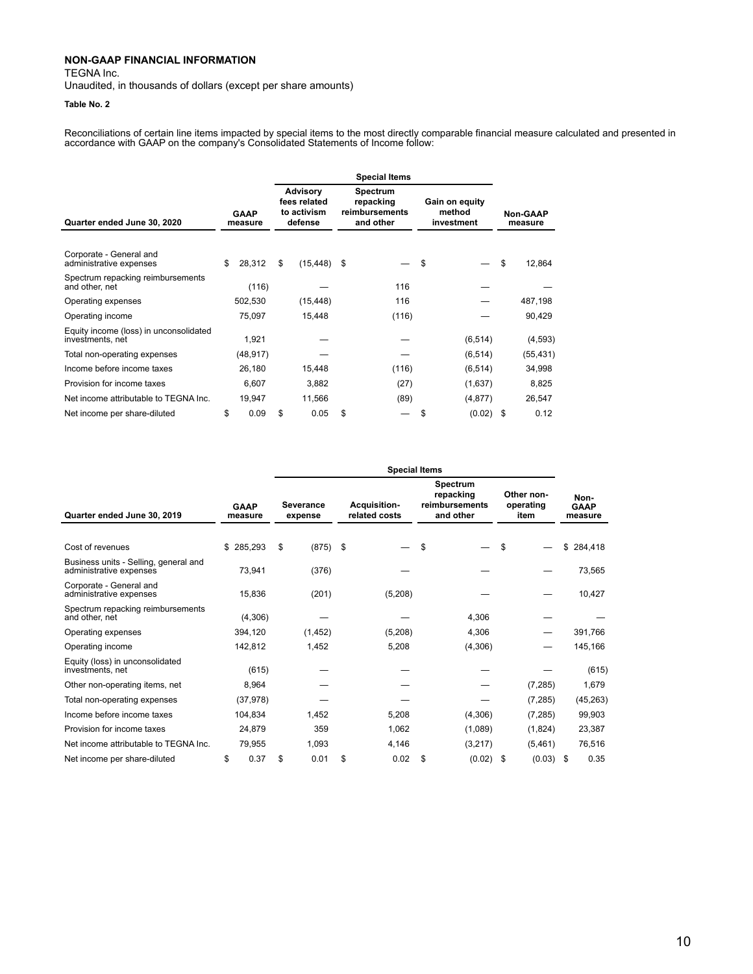TEGNA Inc.

Unaudited, in thousands of dollars (except per share amounts)

#### **Table No. 2**

Reconciliations of certain line items impacted by special items to the most directly comparable financial measure calculated and presented in accordance with GAAP on the company's Consolidated Statements of Income follow:

|                                                            |    |                        |    |                                                           |    | <b>Special Items</b>                                 |    |                                        |                            |
|------------------------------------------------------------|----|------------------------|----|-----------------------------------------------------------|----|------------------------------------------------------|----|----------------------------------------|----------------------------|
| Quarter ended June 30, 2020                                |    | <b>GAAP</b><br>measure |    | <b>Advisory</b><br>fees related<br>to activism<br>defense |    | Spectrum<br>repacking<br>reimbursements<br>and other |    | Gain on equity<br>method<br>investment | <b>Non-GAAP</b><br>measure |
| Corporate - General and<br>administrative expenses         | \$ | 28,312                 | \$ | (15, 448)                                                 | \$ |                                                      | \$ |                                        | \$<br>12,864               |
| Spectrum repacking reimbursements<br>and other, net        |    | (116)                  |    |                                                           |    | 116                                                  |    |                                        |                            |
| Operating expenses                                         |    | 502,530                |    | (15, 448)                                                 |    | 116                                                  |    |                                        | 487,198                    |
| Operating income                                           |    | 75,097                 |    | 15,448                                                    |    | (116)                                                |    |                                        | 90,429                     |
| Equity income (loss) in unconsolidated<br>investments, net |    | 1,921                  |    |                                                           |    |                                                      |    | (6, 514)                               | (4, 593)                   |
| Total non-operating expenses                               |    | (48, 917)              |    |                                                           |    |                                                      |    | (6, 514)                               | (55, 431)                  |
| Income before income taxes                                 |    | 26,180                 |    | 15,448                                                    |    | (116)                                                |    | (6, 514)                               | 34,998                     |
| Provision for income taxes                                 |    | 6,607                  |    | 3,882                                                     |    | (27)                                                 |    | (1,637)                                | 8,825                      |
| Net income attributable to TEGNA Inc.                      |    | 19,947                 |    | 11,566                                                    |    | (89)                                                 |    | (4, 877)                               | 26,547                     |
| Net income per share-diluted                               | \$ | 0.09                   | \$ | 0.05                                                      | \$ |                                                      | \$ | (0.02)                                 | \$<br>0.12                 |

|                                                                  |                        | <b>Special Items</b>                                                |    |         |    |                                                             |    |                                 |    |                                |  |  |
|------------------------------------------------------------------|------------------------|---------------------------------------------------------------------|----|---------|----|-------------------------------------------------------------|----|---------------------------------|----|--------------------------------|--|--|
| Quarter ended June 30, 2019                                      | <b>GAAP</b><br>measure | <b>Acquisition-</b><br><b>Severance</b><br>related costs<br>expense |    |         |    | <b>Spectrum</b><br>repacking<br>reimbursements<br>and other |    | Other non-<br>operating<br>item |    | Non-<br><b>GAAP</b><br>measure |  |  |
|                                                                  |                        |                                                                     |    |         |    |                                                             |    |                                 |    |                                |  |  |
| Cost of revenues                                                 | \$285,293              | \$<br>$(875)$ \$                                                    |    |         | \$ |                                                             | \$ |                                 |    | \$284,418                      |  |  |
| Business units - Selling, general and<br>administrative expenses | 73,941                 | (376)                                                               |    |         |    |                                                             |    |                                 |    | 73,565                         |  |  |
| Corporate - General and<br>administrative expenses               | 15,836                 | (201)                                                               |    | (5,208) |    |                                                             |    |                                 |    | 10,427                         |  |  |
| Spectrum repacking reimbursements<br>and other, net              | (4,306)                |                                                                     |    |         |    | 4,306                                                       |    |                                 |    |                                |  |  |
| Operating expenses                                               | 394,120                | (1, 452)                                                            |    | (5,208) |    | 4,306                                                       |    |                                 |    | 391,766                        |  |  |
| Operating income                                                 | 142,812                | 1,452                                                               |    | 5,208   |    | (4,306)                                                     |    |                                 |    | 145,166                        |  |  |
| Equity (loss) in unconsolidated<br>investments, net              | (615)                  |                                                                     |    |         |    |                                                             |    |                                 |    | (615)                          |  |  |
| Other non-operating items, net                                   | 8,964                  |                                                                     |    |         |    |                                                             |    | (7, 285)                        |    | 1,679                          |  |  |
| Total non-operating expenses                                     | (37, 978)              |                                                                     |    |         |    |                                                             |    | (7, 285)                        |    | (45, 263)                      |  |  |
| Income before income taxes                                       | 104,834                | 1,452                                                               |    | 5,208   |    | (4,306)                                                     |    | (7, 285)                        |    | 99,903                         |  |  |
| Provision for income taxes                                       | 24,879                 | 359                                                                 |    | 1,062   |    | (1,089)                                                     |    | (1,824)                         |    | 23,387                         |  |  |
| Net income attributable to TEGNA Inc.                            | 79,955                 | 1,093                                                               |    | 4,146   |    | (3,217)                                                     |    | (5,461)                         |    | 76,516                         |  |  |
| Net income per share-diluted                                     | \$<br>0.37             | \$<br>0.01                                                          | \$ | 0.02    | \$ | (0.02)                                                      | S  | (0.03)                          | \$ | 0.35                           |  |  |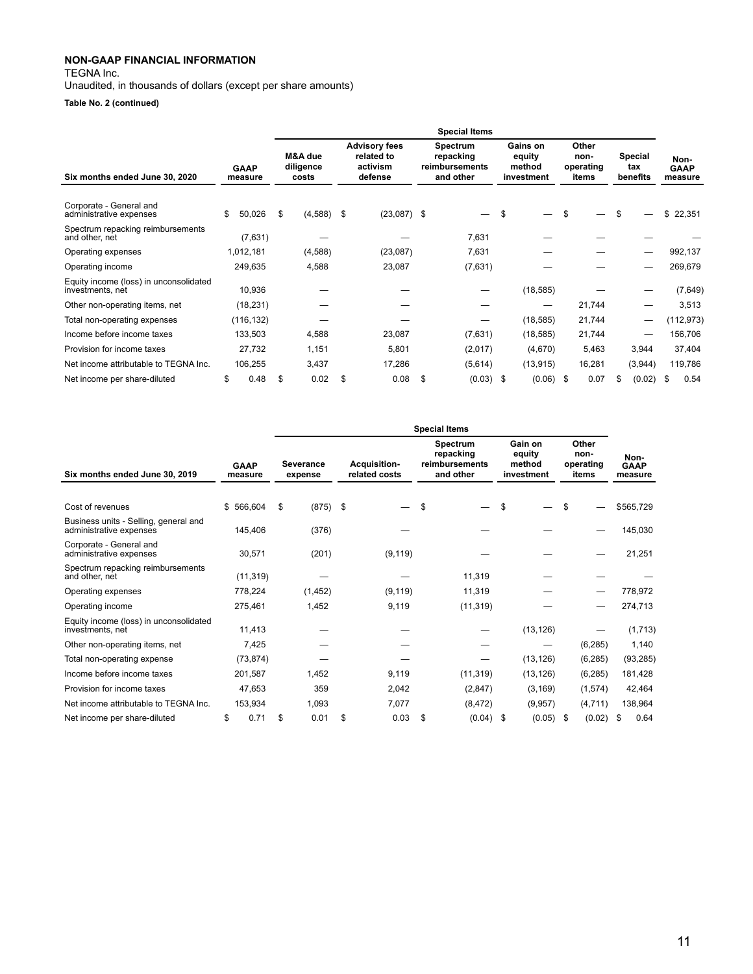TEGNA Inc.

Unaudited, in thousands of dollars (except per share amounts)

**Table No. 2 (continued)**

|                                                            |                        |            |                               |                                                           | <b>Special Items</b>                                 |    |                                            |                                     |   |                            |                                |
|------------------------------------------------------------|------------------------|------------|-------------------------------|-----------------------------------------------------------|------------------------------------------------------|----|--------------------------------------------|-------------------------------------|---|----------------------------|--------------------------------|
| Six months ended June 30, 2020                             | <b>GAAP</b><br>measure |            | M&A due<br>diligence<br>costs | <b>Advisory fees</b><br>related to<br>activism<br>defense | Spectrum<br>repacking<br>reimbursements<br>and other |    | Gains on<br>equity<br>method<br>investment | Other<br>non-<br>operating<br>items |   | Special<br>tax<br>benefits | Non-<br><b>GAAP</b><br>measure |
| Corporate - General and<br>administrative expenses         | \$.                    | 50,026     | \$<br>$(4,588)$ \$            | $(23,087)$ \$                                             |                                                      | S  |                                            | \$                                  |   |                            | \$<br>22,351                   |
| Spectrum repacking reimbursements<br>and other, net        |                        | (7,631)    |                               |                                                           | 7,631                                                |    |                                            |                                     |   |                            |                                |
| Operating expenses                                         | 1,012,181              |            | (4,588)                       | (23,087)                                                  | 7,631                                                |    |                                            |                                     |   | –                          | 992,137                        |
| Operating income                                           |                        | 249,635    | 4,588                         | 23,087                                                    | (7,631)                                              |    |                                            |                                     |   |                            | 269,679                        |
| Equity income (loss) in unconsolidated<br>investments, net |                        | 10,936     |                               |                                                           |                                                      |    | (18, 585)                                  |                                     |   |                            | (7,649)                        |
| Other non-operating items, net                             |                        | (18, 231)  |                               |                                                           |                                                      |    |                                            | 21,744                              |   |                            | 3,513                          |
| Total non-operating expenses                               |                        | (116, 132) |                               |                                                           |                                                      |    | (18, 585)                                  | 21,744                              |   |                            | (112, 973)                     |
| Income before income taxes                                 |                        | 133,503    | 4,588                         | 23,087                                                    | (7,631)                                              |    | (18, 585)                                  | 21,744                              |   | –                          | 156,706                        |
| Provision for income taxes                                 |                        | 27,732     | 1,151                         | 5,801                                                     | (2,017)                                              |    | (4,670)                                    | 5,463                               |   | 3,944                      | 37,404                         |
| Net income attributable to TEGNA Inc.                      |                        | 106,255    | 3,437                         | 17,286                                                    | (5,614)                                              |    | (13, 915)                                  | 16,281                              |   | (3,944)                    | 119,786                        |
| Net income per share-diluted                               | \$                     | 0.48       | \$<br>0.02                    | \$<br>0.08                                                | \$<br>(0.03)                                         | S. | $(0.06)$ \$                                | 0.07                                | S | (0.02)                     | 0.54<br>\$.                    |

|                                                                  |                        |           |                             |                                      | <b>Special Items</b>                                 |                                           |                                     |                                |
|------------------------------------------------------------------|------------------------|-----------|-----------------------------|--------------------------------------|------------------------------------------------------|-------------------------------------------|-------------------------------------|--------------------------------|
| Six months ended June 30, 2019                                   | <b>GAAP</b><br>measure |           | <b>Severance</b><br>expense | <b>Acquisition-</b><br>related costs | Spectrum<br>repacking<br>reimbursements<br>and other | Gain on<br>equity<br>method<br>investment | Other<br>non-<br>operating<br>items | Non-<br><b>GAAP</b><br>measure |
|                                                                  |                        |           |                             |                                      |                                                      |                                           |                                     |                                |
| Cost of revenues                                                 | \$566,604              |           | \$<br>(875)                 | \$                                   | \$                                                   | \$                                        | \$                                  | \$565,729                      |
| Business units - Selling, general and<br>administrative expenses |                        | 145,406   | (376)                       |                                      |                                                      |                                           |                                     | 145,030                        |
| Corporate - General and<br>administrative expenses               |                        | 30,571    | (201)                       | (9, 119)                             |                                                      |                                           |                                     | 21,251                         |
| Spectrum repacking reimbursements<br>and other, net              |                        | (11, 319) |                             |                                      | 11,319                                               |                                           |                                     |                                |
| Operating expenses                                               |                        | 778,224   | (1, 452)                    | (9, 119)                             | 11,319                                               |                                           |                                     | 778,972                        |
| Operating income                                                 |                        | 275,461   | 1,452                       | 9,119                                | (11, 319)                                            |                                           |                                     | 274,713                        |
| Equity income (loss) in unconsolidated<br>investments, net       |                        | 11.413    |                             |                                      |                                                      | (13, 126)                                 |                                     | (1,713)                        |
| Other non-operating items, net                                   |                        | 7,425     |                             |                                      |                                                      |                                           | (6, 285)                            | 1,140                          |
| Total non-operating expense                                      |                        | (73, 874) |                             |                                      |                                                      | (13, 126)                                 | (6, 285)                            | (93, 285)                      |
| Income before income taxes                                       |                        | 201,587   | 1,452                       | 9,119                                | (11, 319)                                            | (13, 126)                                 | (6, 285)                            | 181,428                        |
| Provision for income taxes                                       |                        | 47,653    | 359                         | 2,042                                | (2,847)                                              | (3, 169)                                  | (1,574)                             | 42,464                         |
| Net income attributable to TEGNA Inc.                            |                        | 153,934   | 1,093                       | 7,077                                | (8, 472)                                             | (9,957)                                   | (4,711)                             | 138,964                        |
| Net income per share-diluted                                     | \$                     | 0.71      | \$<br>0.01                  | \$<br>0.03                           | \$<br>(0.04)                                         | \$<br>(0.05)                              | \$<br>(0.02)                        | 0.64<br>S                      |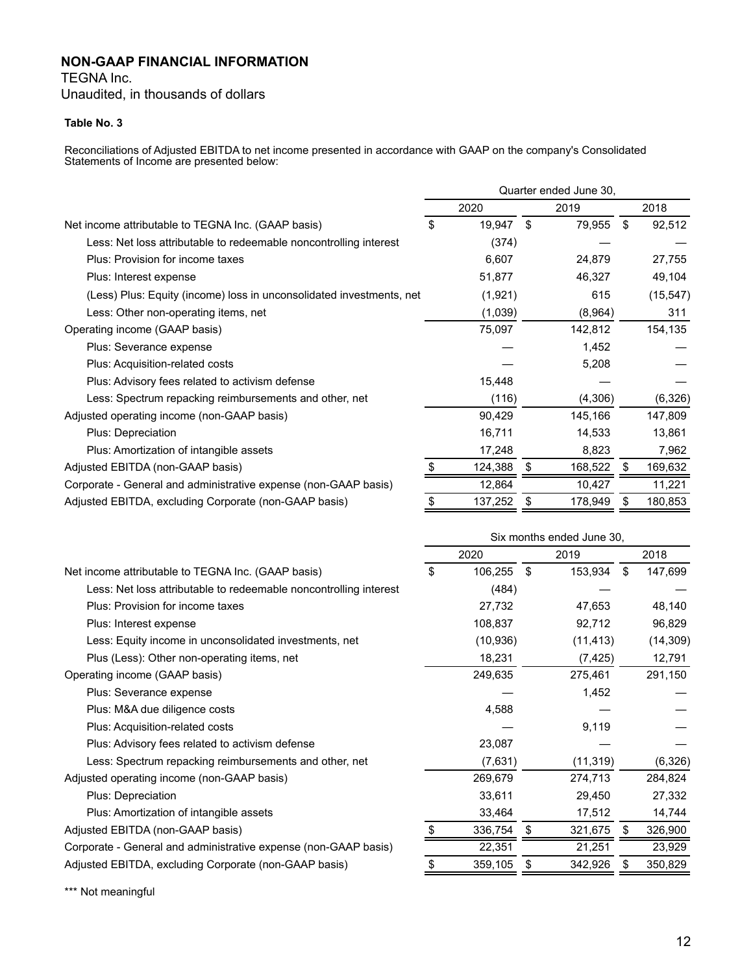TEGNA Inc. Unaudited, in thousands of dollars

#### **Table No. 3**

Reconciliations of Adjusted EBITDA to net income presented in accordance with GAAP on the company's Consolidated Statements of Income are presented below:

|                                                                      |               |    | Quarter ended June 30, |   |           |
|----------------------------------------------------------------------|---------------|----|------------------------|---|-----------|
|                                                                      | 2020          |    | 2019                   |   | 2018      |
| Net income attributable to TEGNA Inc. (GAAP basis)                   | \$<br>19,947  | \$ | 79,955                 | S | 92,512    |
| Less: Net loss attributable to redeemable noncontrolling interest    | (374)         |    |                        |   |           |
| Plus: Provision for income taxes                                     | 6,607         |    | 24,879                 |   | 27,755    |
| Plus: Interest expense                                               | 51,877        |    | 46,327                 |   | 49,104    |
| (Less) Plus: Equity (income) loss in unconsolidated investments, net | (1,921)       |    | 615                    |   | (15, 547) |
| Less: Other non-operating items, net                                 | (1,039)       |    | (8,964)                |   | 311       |
| Operating income (GAAP basis)                                        | 75,097        |    | 142,812                |   | 154,135   |
| Plus: Severance expense                                              |               |    | 1,452                  |   |           |
| Plus: Acquisition-related costs                                      |               |    | 5,208                  |   |           |
| Plus: Advisory fees related to activism defense                      | 15,448        |    |                        |   |           |
| Less: Spectrum repacking reimbursements and other, net               | (116)         |    | (4,306)                |   | (6, 326)  |
| Adjusted operating income (non-GAAP basis)                           | 90,429        |    | 145,166                |   | 147,809   |
| Plus: Depreciation                                                   | 16,711        |    | 14,533                 |   | 13,861    |
| Plus: Amortization of intangible assets                              | 17,248        |    | 8,823                  |   | 7,962     |
| Adjusted EBITDA (non-GAAP basis)                                     | 124,388       | \$ | 168,522                | S | 169,632   |
| Corporate - General and administrative expense (non-GAAP basis)      | 12,864        |    | 10,427                 |   | 11,221    |
| Adjusted EBITDA, excluding Corporate (non-GAAP basis)                | \$<br>137,252 | S  | 178,949                | S | 180,853   |

|                                                                   |               |    | Six months ended June 30, |     |           |
|-------------------------------------------------------------------|---------------|----|---------------------------|-----|-----------|
|                                                                   | 2020          |    | 2019                      |     | 2018      |
| Net income attributable to TEGNA Inc. (GAAP basis)                | \$<br>106,255 | \$ | 153,934                   | -\$ | 147,699   |
| Less: Net loss attributable to redeemable noncontrolling interest | (484)         |    |                           |     |           |
| Plus: Provision for income taxes                                  | 27,732        |    | 47,653                    |     | 48,140    |
| Plus: Interest expense                                            | 108,837       |    | 92,712                    |     | 96,829    |
| Less: Equity income in unconsolidated investments, net            | (10, 936)     |    | (11, 413)                 |     | (14, 309) |
| Plus (Less): Other non-operating items, net                       | 18,231        |    | (7, 425)                  |     | 12,791    |
| Operating income (GAAP basis)                                     | 249,635       |    | 275,461                   |     | 291,150   |
| Plus: Severance expense                                           |               |    | 1,452                     |     |           |
| Plus: M&A due diligence costs                                     | 4,588         |    |                           |     |           |
| Plus: Acquisition-related costs                                   |               |    | 9,119                     |     |           |
| Plus: Advisory fees related to activism defense                   | 23,087        |    |                           |     |           |
| Less: Spectrum repacking reimbursements and other, net            | (7,631)       |    | (11, 319)                 |     | (6,326)   |
| Adjusted operating income (non-GAAP basis)                        | 269,679       |    | 274,713                   |     | 284,824   |
| Plus: Depreciation                                                | 33,611        |    | 29,450                    |     | 27,332    |
| Plus: Amortization of intangible assets                           | 33,464        |    | 17,512                    |     | 14,744    |
| Adjusted EBITDA (non-GAAP basis)                                  | 336,754       | \$ | 321,675                   | \$  | 326,900   |
| Corporate - General and administrative expense (non-GAAP basis)   | 22,351        |    | 21,251                    |     | 23,929    |
| Adjusted EBITDA, excluding Corporate (non-GAAP basis)             | 359,105       | S  | 342,926                   | SБ  | 350,829   |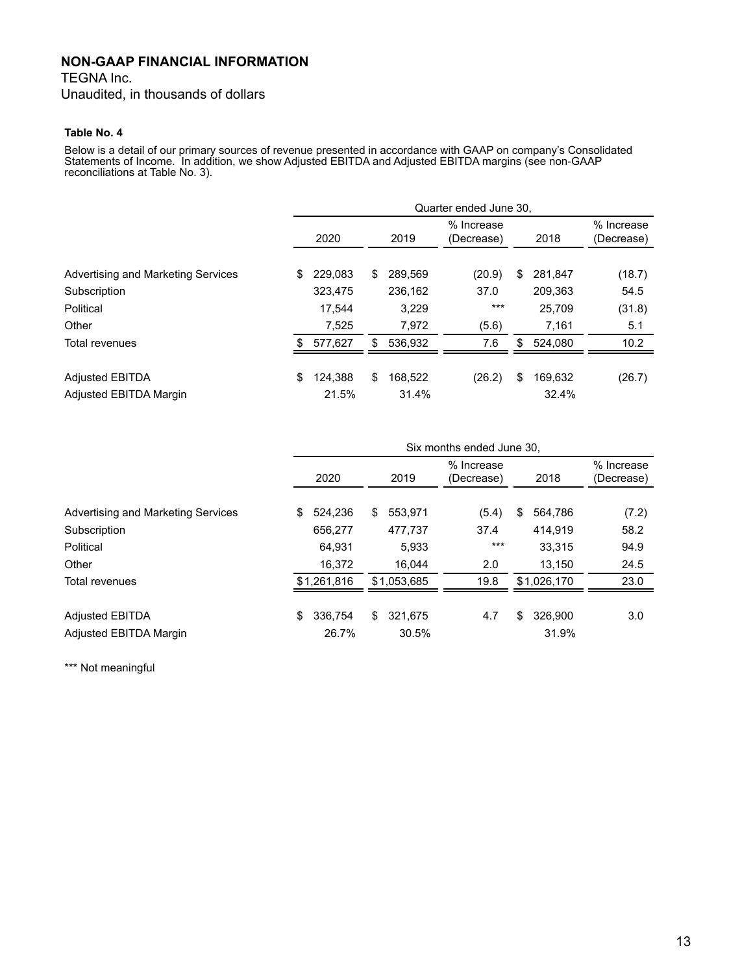TEGNA Inc.

Unaudited, in thousands of dollars

#### **Table No. 4**

Below is a detail of our primary sources of revenue presented in accordance with GAAP on company's Consolidated Statements of Income. In addition, we show Adjusted EBITDA and Adjusted EBITDA margins (see non-GAAP reconciliations at Table No. 3).

|                                    |                |               | Quarter ended June 30,   |               |                          |
|------------------------------------|----------------|---------------|--------------------------|---------------|--------------------------|
|                                    | 2020           | 2019          | % Increase<br>(Decrease) | 2018          | % Increase<br>(Decrease) |
| Advertising and Marketing Services | 229.083<br>\$. | 289,569<br>S  | (20.9)                   | \$<br>281,847 | (18.7)                   |
| Subscription                       | 323,475        | 236,162       | 37.0                     | 209,363       | 54.5                     |
| Political                          | 17.544         | 3,229         | $***$                    | 25,709        | (31.8)                   |
| Other                              | 7.525          | 7.972         | (5.6)                    | 7,161         | 5.1                      |
| <b>Total revenues</b>              | 577,627<br>\$  | S<br>536.932  | 7.6                      | 524.080<br>\$ | 10.2                     |
| <b>Adjusted EBITDA</b>             | \$<br>124.388  | \$<br>168.522 | (26.2)                   | \$<br>169,632 | (26.7)                   |
| Adjusted EBITDA Margin             | 21.5%          | 31.4%         |                          | 32.4%         |                          |

|                                    |                | Six months ended June 30, |                          |               |                          |  |  |  |  |  |  |  |  |
|------------------------------------|----------------|---------------------------|--------------------------|---------------|--------------------------|--|--|--|--|--|--|--|--|
|                                    | 2020           | 2019                      | % Increase<br>(Decrease) | 2018          | % Increase<br>(Decrease) |  |  |  |  |  |  |  |  |
| Advertising and Marketing Services | 524.236<br>\$. | 553,971<br>\$             | (5.4)                    | 564,786<br>\$ | (7.2)                    |  |  |  |  |  |  |  |  |
| Subscription                       | 656,277        | 477,737                   | 37.4                     | 414.919       | 58.2                     |  |  |  |  |  |  |  |  |
| Political                          | 64.931         | 5,933                     | $***$                    | 33,315        | 94.9                     |  |  |  |  |  |  |  |  |
| Other                              | 16,372         | 16.044                    | 2.0                      | 13,150        | 24.5                     |  |  |  |  |  |  |  |  |
| Total revenues                     | \$1,261,816    | \$1.053.685               | 19.8                     | \$1.026.170   | 23.0                     |  |  |  |  |  |  |  |  |
| <b>Adjusted EBITDA</b>             | 336.754<br>\$  | \$<br>321,675             | 4.7                      | \$<br>326.900 | 3.0                      |  |  |  |  |  |  |  |  |
| <b>Adiusted EBITDA Margin</b>      | 26.7%          | 30.5%                     |                          | 31.9%         |                          |  |  |  |  |  |  |  |  |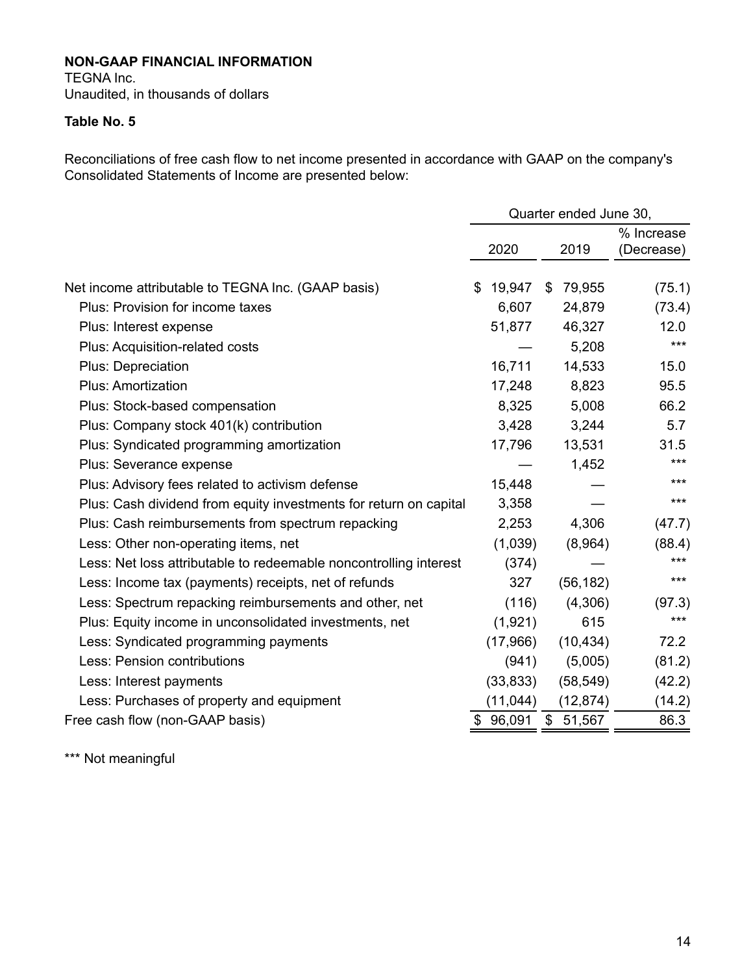TEGNA Inc. Unaudited, in thousands of dollars

#### **Table No. 5**

Reconciliations of free cash flow to net income presented in accordance with GAAP on the company's Consolidated Statements of Income are presented below:

|                                                                   |              | Quarter ended June 30, |                          |
|-------------------------------------------------------------------|--------------|------------------------|--------------------------|
|                                                                   | 2020         | 2019                   | % Increase<br>(Decrease) |
| Net income attributable to TEGNA Inc. (GAAP basis)                | \$<br>19,947 | \$<br>79,955           | (75.1)                   |
| Plus: Provision for income taxes                                  | 6,607        | 24,879                 | (73.4)                   |
| Plus: Interest expense                                            | 51,877       | 46,327                 | 12.0                     |
| Plus: Acquisition-related costs                                   |              | 5,208                  | $***$                    |
| <b>Plus: Depreciation</b>                                         | 16,711       | 14,533                 | 15.0                     |
| <b>Plus: Amortization</b>                                         | 17,248       | 8,823                  | 95.5                     |
| Plus: Stock-based compensation                                    | 8,325        | 5,008                  | 66.2                     |
| Plus: Company stock 401(k) contribution                           | 3,428        | 3,244                  | 5.7                      |
| Plus: Syndicated programming amortization                         | 17,796       | 13,531                 | 31.5                     |
| Plus: Severance expense                                           |              | 1,452                  | $***$                    |
| Plus: Advisory fees related to activism defense                   | 15,448       |                        | $***$                    |
| Plus: Cash dividend from equity investments for return on capital | 3,358        |                        | $***$                    |
| Plus: Cash reimbursements from spectrum repacking                 | 2,253        | 4,306                  | (47.7)                   |
| Less: Other non-operating items, net                              | (1,039)      | (8,964)                | (88.4)                   |
| Less: Net loss attributable to redeemable noncontrolling interest | (374)        |                        | ***                      |
| Less: Income tax (payments) receipts, net of refunds              | 327          | (56, 182)              | $***$                    |
| Less: Spectrum repacking reimbursements and other, net            | (116)        | (4,306)                | (97.3)                   |
| Plus: Equity income in unconsolidated investments, net            | (1,921)      | 615                    | $***$                    |
| Less: Syndicated programming payments                             | (17,966)     | (10, 434)              | 72.2                     |
| Less: Pension contributions                                       | (941)        | (5,005)                | (81.2)                   |
| Less: Interest payments                                           | (33, 833)    | (58, 549)              | (42.2)                   |
| Less: Purchases of property and equipment                         | (11, 044)    | (12, 874)              | (14.2)                   |
| Free cash flow (non-GAAP basis)                                   | \$<br>96,091 | \$<br>51,567           | 86.3                     |